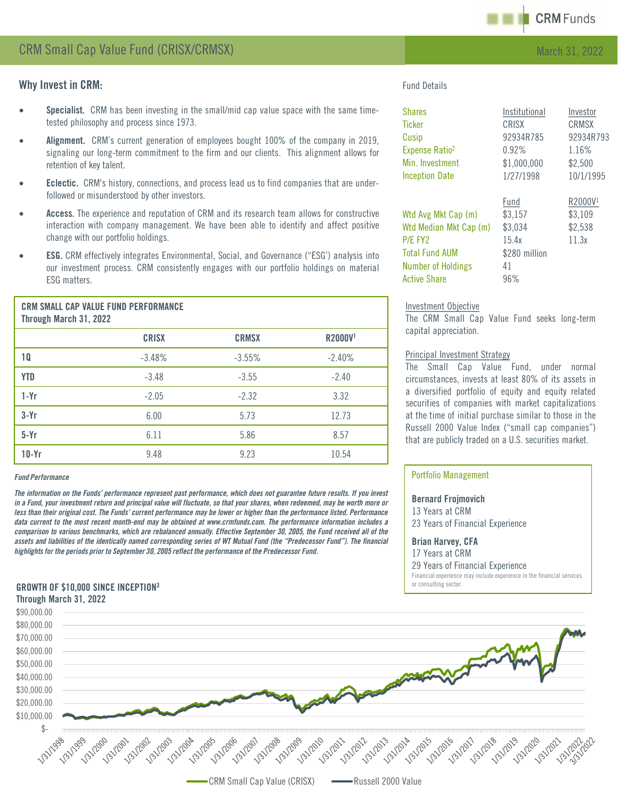

# Why Invest in CRM:

- Specialist. CRM has been investing in the small/mid cap value space with the same timetested philosophy and process since 1973.
- Alignment. CRM's current generation of employees bought 100% of the company in 2019, signaling our long-term commitment to the firm and our clients. This alignment allows for retention of key talent.
- **Eclectic.** CRM's history, connections, and process lead us to find companies that are underfollowed or misunderstood by other investors.
- Access. The experience and reputation of CRM and its research team allows for constructive interaction with company management. We have been able to identify and affect positive change with our portfolio holdings.
- **ESG.** CRM effectively integrates Environmental, Social, and Governance ("ESG') analysis into our investment process. CRM consistently engages with our portfolio holdings on material ESG matters.

| <b>CRM SMALL CAP VALUE FUND PERFORMANCE</b><br>Through March 31, 2022 |              |              |                     |
|-----------------------------------------------------------------------|--------------|--------------|---------------------|
|                                                                       | <b>CRISX</b> | <b>CRMSX</b> | R2000V <sup>1</sup> |
| 10                                                                    | $-3.48%$     | $-3.55%$     | $-2.40%$            |
| <b>YTD</b>                                                            | $-3.48$      | $-3.55$      | $-2.40$             |
| $1-Yr$                                                                | $-2.05$      | $-2.32$      | 3.32                |
| $3-Yr$                                                                | 6.00         | 5.73         | 12.73               |
| $5-Yr$                                                                | 6.11         | 5.86         | 8.57                |
| $10-Yr$                                                               | 9.48         | 9.23         | 10.54               |

#### *Fund Performance*

The information on the Funds' performance represent past performance, which does not guarantee future results. If you invest in a Fund, your investment return and principal value will fluctuate, so that your shares, when redeemed, may be worth more or less than their original cost. The Funds' current performance may be lower or higher than the performance listed. Performance data current to the most recent month-end may be obtained at www.crmfunds.com. The performance information includes a comparison to various benchmarks, which are rebalanced annually. Effective September 30, 2005, the Fund received all of the assets and liabilities of the identically named corresponding series of WT Mutual Fund (the "Predecessor Fund"). The financial *highlightsfor the periods prior to September 30, 2005 reflect the performance of the Predecessor Fund.*

# GROWTH OF \$10,000 SINCE INCEPTION3

### Through March 31, 2022

Fund Details

| <b>Shares</b>              | Institutional | Investor            |
|----------------------------|---------------|---------------------|
| <b>Ticker</b>              | <b>CRISX</b>  | <b>CRMSX</b>        |
| Cusip                      | 92934R785     | 92934R793           |
| Expense Ratio <sup>2</sup> | 0.92%         | 1.16%               |
| Min. Investment            | \$1,000,000   | \$2,500             |
| <b>Inception Date</b>      | 1/27/1998     | 10/1/1995           |
|                            | Fund          | R2000V <sup>1</sup> |
| Wtd Avg Mkt Cap (m)        | \$3,157       | \$3,109             |
| Wtd Median Mkt Cap (m)     | \$3,034       | \$2,538             |
| P/E FY2                    | 15.4x         | 11.3x               |
| <b>Total Fund AUM</b>      | \$280 million |                     |
| <b>Number of Holdings</b>  | 41            |                     |
| <b>Active Share</b>        | 96%           |                     |

#### Investment Objective

The CRM Small Cap Value Fund seeks long-term capital appreciation.

#### Principal Investment Strategy

The Small Cap Value Fund, under normal circumstances, invests at least 80% of its assets in a diversified portfolio of equity and equity related securities of companies with market capitalizations at the time of initial purchase similar to those in the Russell 2000 Value Index ("small cap companies") that are publicly traded on a U.S. securities market.

### Portfolio Management

Bernard Frojmovich 13 Years at CRM 23 Years of Financial Experience

### Brian Harvey, CFA

17 Years at CRM

29 Years of Financial Experience

Financial experience may include experience in the financial services or consulting sector.